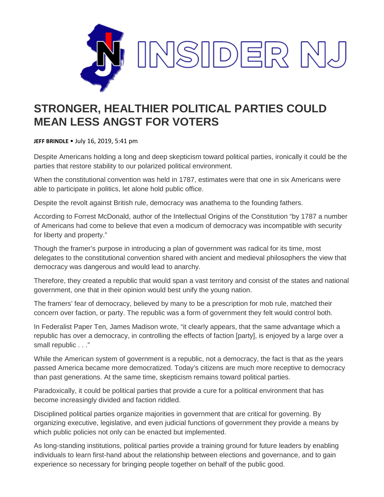

## **STRONGER, HEALTHIER POLITICAL PARTIES COULD MEAN LESS ANGST FOR VOTERS**

**JEFF BRINDLE** • July 16, 2019, 5:41 pm

Despite Americans holding a long and deep skepticism toward political parties, ironically it could be the parties that restore stability to our polarized political environment.

When the constitutional convention was held in 1787, estimates were that one in six Americans were able to participate in politics, let alone hold public office.

Despite the revolt against British rule, democracy was anathema to the founding fathers.

According to Forrest McDonald, author of the Intellectual Origins of the Constitution "by 1787 a number of Americans had come to believe that even a modicum of democracy was incompatible with security for liberty and property."

Though the framer's purpose in introducing a plan of government was radical for its time, most delegates to the constitutional convention shared with ancient and medieval philosophers the view that democracy was dangerous and would lead to anarchy.

Therefore, they created a republic that would span a vast territory and consist of the states and national government, one that in their opinion would best unify the young nation.

The framers' fear of democracy, believed by many to be a prescription for mob rule, matched their concern over faction, or party. The republic was a form of government they felt would control both.

In Federalist Paper Ten, James Madison wrote, "it clearly appears, that the same advantage which a republic has over a democracy, in controlling the effects of faction [party], is enjoyed by a large over a small republic . . ."

While the American system of government is a republic, not a democracy, the fact is that as the years passed America became more democratized. Today's citizens are much more receptive to democracy than past generations. At the same time, skepticism remains toward political parties.

Paradoxically, it could be political parties that provide a cure for a political environment that has become increasingly divided and faction riddled.

Disciplined political parties organize majorities in government that are critical for governing. By organizing executive, legislative, and even judicial functions of government they provide a means by which public policies not only can be enacted but implemented.

As long-standing institutions, political parties provide a training ground for future leaders by enabling individuals to learn first-hand about the relationship between elections and governance, and to gain experience so necessary for bringing people together on behalf of the public good.